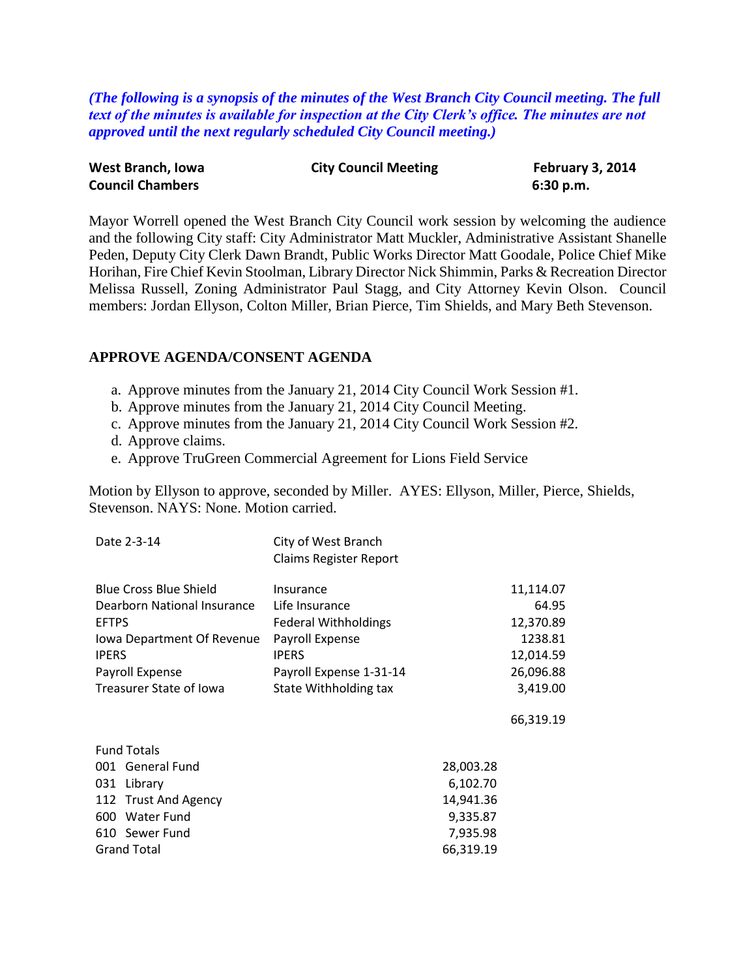*(The following is a synopsis of the minutes of the West Branch City Council meeting. The full text of the minutes is available for inspection at the City Clerk's office. The minutes are not approved until the next regularly scheduled City Council meeting.)*

| West Branch, Iowa       | <b>City Council Meeting</b> | February 3, 2014 |  |
|-------------------------|-----------------------------|------------------|--|
| <b>Council Chambers</b> |                             | 6:30 p.m.        |  |

Mayor Worrell opened the West Branch City Council work session by welcoming the audience and the following City staff: City Administrator Matt Muckler, Administrative Assistant Shanelle Peden, Deputy City Clerk Dawn Brandt, Public Works Director Matt Goodale, Police Chief Mike Horihan, Fire Chief Kevin Stoolman, Library Director Nick Shimmin, Parks & Recreation Director Melissa Russell, Zoning Administrator Paul Stagg, and City Attorney Kevin Olson. Council members: Jordan Ellyson, Colton Miller, Brian Pierce, Tim Shields, and Mary Beth Stevenson.

#### **APPROVE AGENDA/CONSENT AGENDA**

- a. Approve minutes from the January 21, 2014 City Council Work Session #1.
- b. Approve minutes from the January 21, 2014 City Council Meeting.
- c. Approve minutes from the January 21, 2014 City Council Work Session #2.
- d. Approve claims.
- e. Approve TruGreen Commercial Agreement for Lions Field Service

Motion by Ellyson to approve, seconded by Miller. AYES: Ellyson, Miller, Pierce, Shields, Stevenson. NAYS: None. Motion carried.

| Date 2-3-14                   | City of West Branch<br><b>Claims Register Report</b> |           |
|-------------------------------|------------------------------------------------------|-----------|
| <b>Blue Cross Blue Shield</b> | Insurance                                            | 11,114.07 |
| Dearborn National Insurance   | Life Insurance                                       | 64.95     |
| <b>EFTPS</b>                  | <b>Federal Withholdings</b>                          | 12,370.89 |
| Iowa Department Of Revenue    | Payroll Expense                                      | 1238.81   |
| <b>IPERS</b>                  | <b>IPERS</b>                                         | 12,014.59 |
| Payroll Expense               | Payroll Expense 1-31-14                              | 26,096.88 |
| Treasurer State of Iowa       | State Withholding tax                                | 3,419.00  |
|                               |                                                      | 66,319.19 |
| <b>Fund Totals</b>            |                                                      |           |
| 001 General Fund              | 28,003.28                                            |           |
| 031 Library                   | 6,102.70                                             |           |
| 112 Trust And Agency          | 14,941.36                                            |           |
| 600 Water Fund                | 9,335.87                                             |           |
| 610 Sewer Fund                | 7,935.98                                             |           |
| <b>Grand Total</b>            | 66,319.19                                            |           |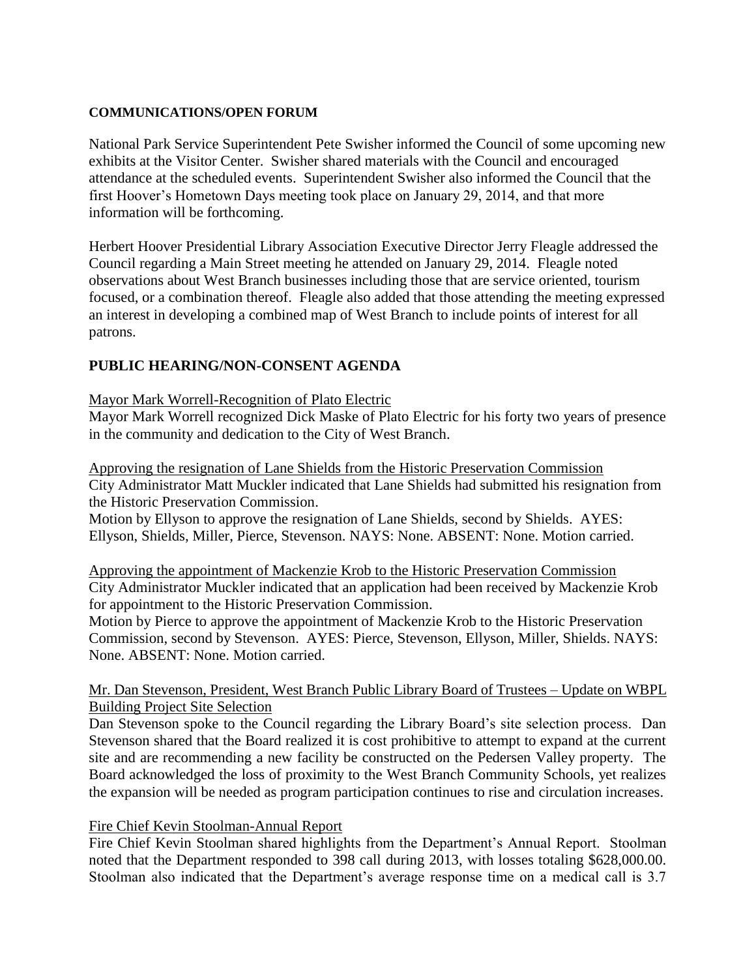#### **COMMUNICATIONS/OPEN FORUM**

National Park Service Superintendent Pete Swisher informed the Council of some upcoming new exhibits at the Visitor Center. Swisher shared materials with the Council and encouraged attendance at the scheduled events. Superintendent Swisher also informed the Council that the first Hoover's Hometown Days meeting took place on January 29, 2014, and that more information will be forthcoming.

Herbert Hoover Presidential Library Association Executive Director Jerry Fleagle addressed the Council regarding a Main Street meeting he attended on January 29, 2014. Fleagle noted observations about West Branch businesses including those that are service oriented, tourism focused, or a combination thereof. Fleagle also added that those attending the meeting expressed an interest in developing a combined map of West Branch to include points of interest for all patrons.

# **PUBLIC HEARING/NON-CONSENT AGENDA**

#### Mayor Mark Worrell-Recognition of Plato Electric

Mayor Mark Worrell recognized Dick Maske of Plato Electric for his forty two years of presence in the community and dedication to the City of West Branch.

Approving the resignation of Lane Shields from the Historic Preservation Commission City Administrator Matt Muckler indicated that Lane Shields had submitted his resignation from the Historic Preservation Commission.

Motion by Ellyson to approve the resignation of Lane Shields, second by Shields. AYES: Ellyson, Shields, Miller, Pierce, Stevenson. NAYS: None. ABSENT: None. Motion carried.

Approving the appointment of Mackenzie Krob to the Historic Preservation Commission City Administrator Muckler indicated that an application had been received by Mackenzie Krob for appointment to the Historic Preservation Commission.

Motion by Pierce to approve the appointment of Mackenzie Krob to the Historic Preservation Commission, second by Stevenson. AYES: Pierce, Stevenson, Ellyson, Miller, Shields. NAYS: None. ABSENT: None. Motion carried.

#### Mr. Dan Stevenson, President, West Branch Public Library Board of Trustees – Update on WBPL Building Project Site Selection

Dan Stevenson spoke to the Council regarding the Library Board's site selection process. Dan Stevenson shared that the Board realized it is cost prohibitive to attempt to expand at the current site and are recommending a new facility be constructed on the Pedersen Valley property. The Board acknowledged the loss of proximity to the West Branch Community Schools, yet realizes the expansion will be needed as program participation continues to rise and circulation increases.

## Fire Chief Kevin Stoolman-Annual Report

Fire Chief Kevin Stoolman shared highlights from the Department's Annual Report. Stoolman noted that the Department responded to 398 call during 2013, with losses totaling \$628,000.00. Stoolman also indicated that the Department's average response time on a medical call is 3.7